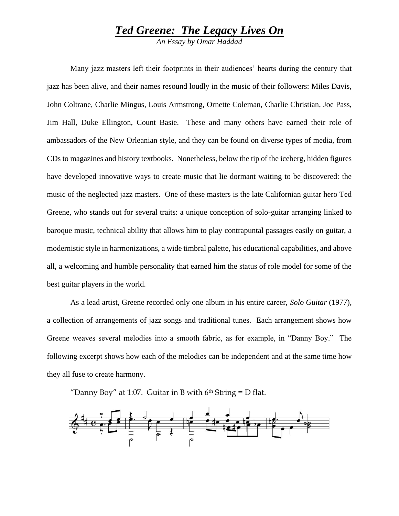## *Ted Greene: The Legacy Lives On*

*An Essay by Omar Haddad*

Many jazz masters left their footprints in their audiences' hearts during the century that jazz has been alive, and their names resound loudly in the music of their followers: Miles Davis, John Coltrane, Charlie Mingus, Louis Armstrong, Ornette Coleman, Charlie Christian, Joe Pass, Jim Hall, Duke Ellington, Count Basie. These and many others have earned their role of ambassadors of the New Orleanian style, and they can be found on diverse types of media, from CDs to magazines and history textbooks. Nonetheless, below the tip of the iceberg, hidden figures have developed innovative ways to create music that lie dormant waiting to be discovered: the music of the neglected jazz masters. One of these masters is the late Californian guitar hero Ted Greene, who stands out for several traits: a unique conception of solo-guitar arranging linked to baroque music, technical ability that allows him to play contrapuntal passages easily on guitar, a modernistic style in harmonizations, a wide timbral palette, his educational capabilities, and above all, a welcoming and humble personality that earned him the status of role model for some of the best guitar players in the world.

As a lead artist, Greene recorded only one album in his entire career, *Solo Guitar* (1977), a collection of arrangements of jazz songs and traditional tunes. Each arrangement shows how Greene weaves several melodies into a smooth fabric, as for example, in "Danny Boy." The following excerpt shows how each of the melodies can be independent and at the same time how they all fuse to create harmony.

"Danny Boy" at 1:07. Guitar in B with  $6<sup>th</sup>$  String = D flat.

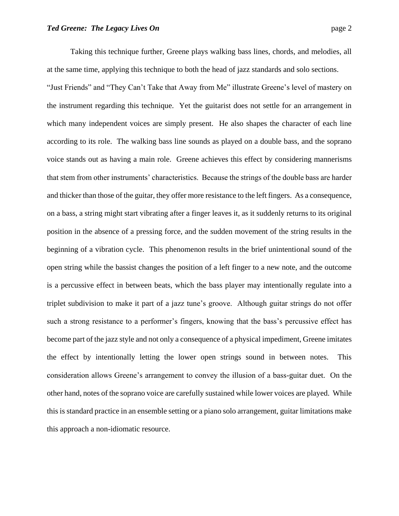Taking this technique further, Greene plays walking bass lines, chords, and melodies, all at the same time, applying this technique to both the head of jazz standards and solo sections. "Just Friends" and "They Can't Take that Away from Me" illustrate Greene's level of mastery on the instrument regarding this technique. Yet the guitarist does not settle for an arrangement in which many independent voices are simply present. He also shapes the character of each line according to its role. The walking bass line sounds as played on a double bass, and the soprano voice stands out as having a main role. Greene achieves this effect by considering mannerisms that stem from other instruments' characteristics. Because the strings of the double bass are harder and thicker than those of the guitar, they offer more resistance to the left fingers. As a consequence, on a bass, a string might start vibrating after a finger leaves it, as it suddenly returns to its original position in the absence of a pressing force, and the sudden movement of the string results in the beginning of a vibration cycle. This phenomenon results in the brief unintentional sound of the open string while the bassist changes the position of a left finger to a new note, and the outcome is a percussive effect in between beats, which the bass player may intentionally regulate into a triplet subdivision to make it part of a jazz tune's groove. Although guitar strings do not offer such a strong resistance to a performer's fingers, knowing that the bass's percussive effect has become part of the jazz style and not only a consequence of a physical impediment, Greene imitates the effect by intentionally letting the lower open strings sound in between notes. This consideration allows Greene's arrangement to convey the illusion of a bass-guitar duet. On the other hand, notes of the soprano voice are carefully sustained while lower voices are played. While this is standard practice in an ensemble setting or a piano solo arrangement, guitar limitations make this approach a non-idiomatic resource.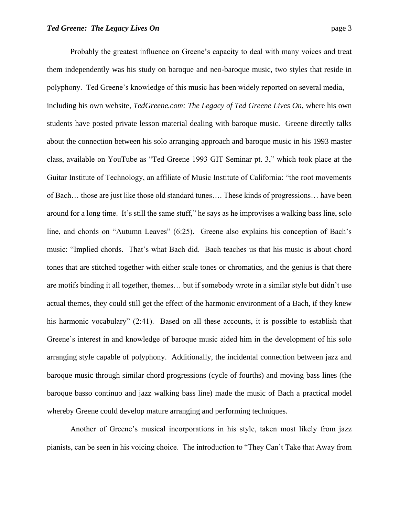Probably the greatest influence on Greene's capacity to deal with many voices and treat them independently was his study on baroque and neo-baroque music, two styles that reside in polyphony. Ted Greene's knowledge of this music has been widely reported on several media, including his own website, *TedGreene.com: The Legacy of Ted Greene Lives On*, where his own students have posted private lesson material dealing with baroque music. Greene directly talks about the connection between his solo arranging approach and baroque music in his 1993 master class, available on YouTube as "Ted Greene 1993 GIT Seminar pt. 3," which took place at the Guitar Institute of Technology, an affiliate of Music Institute of California: "the root movements of Bach… those are just like those old standard tunes…. These kinds of progressions… have been around for a long time. It's still the same stuff," he says as he improvises a walking bass line, solo line, and chords on "Autumn Leaves" (6:25). Greene also explains his conception of Bach's music: "Implied chords. That's what Bach did. Bach teaches us that his music is about chord tones that are stitched together with either scale tones or chromatics, and the genius is that there are motifs binding it all together, themes… but if somebody wrote in a similar style but didn't use actual themes, they could still get the effect of the harmonic environment of a Bach, if they knew his harmonic vocabulary" (2:41). Based on all these accounts, it is possible to establish that Greene's interest in and knowledge of baroque music aided him in the development of his solo arranging style capable of polyphony. Additionally, the incidental connection between jazz and baroque music through similar chord progressions (cycle of fourths) and moving bass lines (the baroque basso continuo and jazz walking bass line) made the music of Bach a practical model whereby Greene could develop mature arranging and performing techniques.

Another of Greene's musical incorporations in his style, taken most likely from jazz pianists, can be seen in his voicing choice. The introduction to "They Can't Take that Away from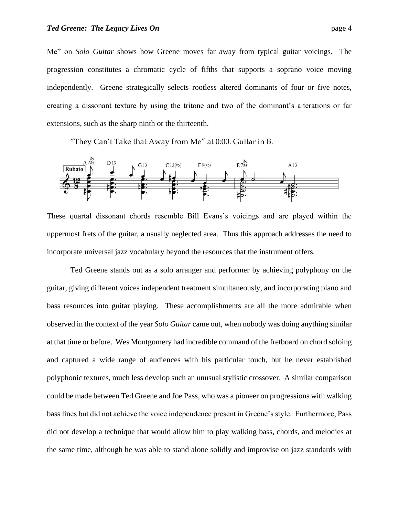Me" on *Solo Guitar* shows how Greene moves far away from typical guitar voicings. The progression constitutes a chromatic cycle of fifths that supports a soprano voice moving independently. Greene strategically selects rootless altered dominants of four or five notes, creating a dissonant texture by using the tritone and two of the dominant's alterations or far extensions, such as the sharp ninth or the thirteenth.

"They Can't Take that Away from Me" at 0:00. Guitar in B.



These quartal dissonant chords resemble Bill Evans's voicings and are played within the uppermost frets of the guitar, a usually neglected area. Thus this approach addresses the need to incorporate universal jazz vocabulary beyond the resources that the instrument offers.

Ted Greene stands out as a solo arranger and performer by achieving polyphony on the guitar, giving different voices independent treatment simultaneously, and incorporating piano and bass resources into guitar playing. These accomplishments are all the more admirable when observed in the context of the year *Solo Guitar* came out, when nobody was doing anything similar at that time or before. Wes Montgomery had incredible command of the fretboard on chord soloing and captured a wide range of audiences with his particular touch, but he never established polyphonic textures, much less develop such an unusual stylistic crossover. A similar comparison could be made between Ted Greene and Joe Pass, who was a pioneer on progressions with walking bass lines but did not achieve the voice independence present in Greene's style. Furthermore, Pass did not develop a technique that would allow him to play walking bass, chords, and melodies at the same time, although he was able to stand alone solidly and improvise on jazz standards with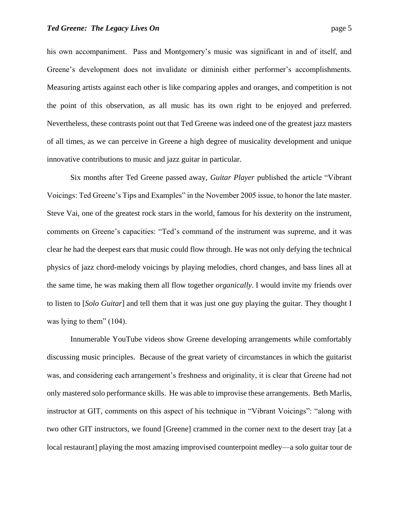his own accompaniment. Pass and Montgomery's music was significant in and of itself, and Greene's development does not invalidate or diminish either performer's accomplishments. Measuring artists against each other is like comparing apples and oranges, and competition is not the point of this observation, as all music has its own right to be enjoyed and preferred. Nevertheless, these contrasts point out that Ted Greene was indeed one of the greatest jazz masters of all times, as we can perceive in Greene a high degree of musicality development and unique innovative contributions to music and jazz guitar in particular.

Six months after Ted Greene passed away, *Guitar Player* published the article "Vibrant Voicings: Ted Greene's Tips and Examples" in the November 2005 issue, to honor the late master. Steve Vai, one of the greatest rock stars in the world, famous for his dexterity on the instrument, comments on Greene's capacities: "Ted's command of the instrument was supreme, and it was clear he had the deepest ears that music could flow through. He was not only defying the technical physics of jazz chord-melody voicings by playing melodies, chord changes, and bass lines all at the same time, he was making them all flow together *organically*. I would invite my friends over to listen to [*Solo Guitar*] and tell them that it was just one guy playing the guitar. They thought I was lying to them" (104).

Innumerable YouTube videos show Greene developing arrangements while comfortably discussing music principles. Because of the great variety of circumstances in which the guitarist was, and considering each arrangement's freshness and originality, it is clear that Greene had not only mastered solo performance skills. He was able to improvise these arrangements. Beth Marlis, instructor at GIT, comments on this aspect of his technique in "Vibrant Voicings": "along with two other GIT instructors, we found [Greene] crammed in the corner next to the desert tray [at a local restaurant] playing the most amazing improvised counterpoint medley—a solo guitar tour de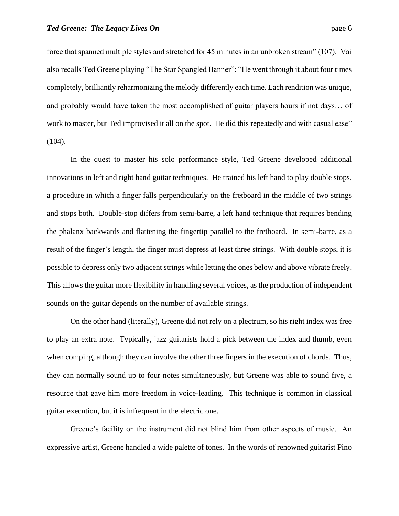force that spanned multiple styles and stretched for 45 minutes in an unbroken stream" (107). Vai also recalls Ted Greene playing "The Star Spangled Banner": "He went through it about four times completely, brilliantly reharmonizing the melody differently each time. Each rendition was unique, and probably would have taken the most accomplished of guitar players hours if not days… of work to master, but Ted improvised it all on the spot. He did this repeatedly and with casual ease" (104).

In the quest to master his solo performance style, Ted Greene developed additional innovations in left and right hand guitar techniques. He trained his left hand to play double stops, a procedure in which a finger falls perpendicularly on the fretboard in the middle of two strings and stops both. Double-stop differs from semi-barre, a left hand technique that requires bending the phalanx backwards and flattening the fingertip parallel to the fretboard. In semi-barre, as a result of the finger's length, the finger must depress at least three strings. With double stops, it is possible to depress only two adjacent strings while letting the ones below and above vibrate freely. This allows the guitar more flexibility in handling several voices, as the production of independent sounds on the guitar depends on the number of available strings.

On the other hand (literally), Greene did not rely on a plectrum, so his right index was free to play an extra note. Typically, jazz guitarists hold a pick between the index and thumb, even when comping, although they can involve the other three fingers in the execution of chords. Thus, they can normally sound up to four notes simultaneously, but Greene was able to sound five, a resource that gave him more freedom in voice-leading. This technique is common in classical guitar execution, but it is infrequent in the electric one.

Greene's facility on the instrument did not blind him from other aspects of music. An expressive artist, Greene handled a wide palette of tones. In the words of renowned guitarist Pino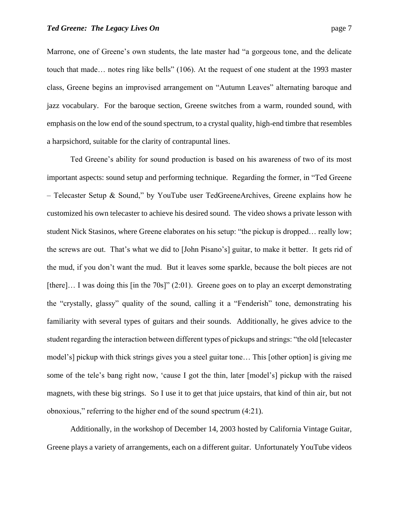Marrone, one of Greene's own students, the late master had "a gorgeous tone, and the delicate touch that made… notes ring like bells" (106). At the request of one student at the 1993 master class, Greene begins an improvised arrangement on "Autumn Leaves" alternating baroque and jazz vocabulary. For the baroque section, Greene switches from a warm, rounded sound, with emphasis on the low end of the sound spectrum, to a crystal quality, high-end timbre that resembles a harpsichord, suitable for the clarity of contrapuntal lines.

Ted Greene's ability for sound production is based on his awareness of two of its most important aspects: sound setup and performing technique. Regarding the former, in "Ted Greene – Telecaster Setup & Sound," by YouTube user TedGreeneArchives, Greene explains how he customized his own telecaster to achieve his desired sound. The video shows a private lesson with student Nick Stasinos, where Greene elaborates on his setup: "the pickup is dropped… really low; the screws are out. That's what we did to [John Pisano's] guitar, to make it better. It gets rid of the mud, if you don't want the mud. But it leaves some sparkle, because the bolt pieces are not [there]... I was doing this [in the 70s]" (2:01). Greene goes on to play an excerpt demonstrating the "crystally, glassy" quality of the sound, calling it a "Fenderish" tone, demonstrating his familiarity with several types of guitars and their sounds. Additionally, he gives advice to the student regarding the interaction between different types of pickups and strings: "the old [telecaster model's] pickup with thick strings gives you a steel guitar tone… This [other option] is giving me some of the tele's bang right now, 'cause I got the thin, later [model's] pickup with the raised magnets, with these big strings. So I use it to get that juice upstairs, that kind of thin air, but not obnoxious," referring to the higher end of the sound spectrum (4:21).

Additionally, in the workshop of December 14, 2003 hosted by California Vintage Guitar, Greene plays a variety of arrangements, each on a different guitar. Unfortunately YouTube videos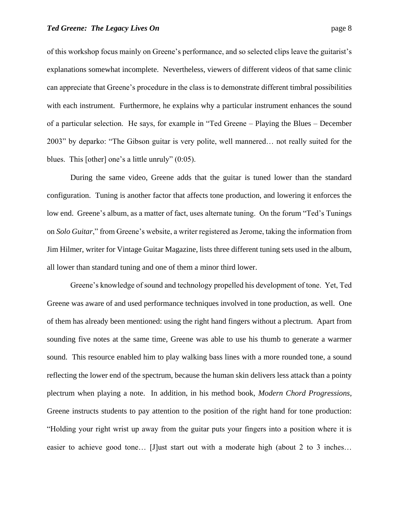blues. This [other] one's a little unruly" (0:05).

of this workshop focus mainly on Greene's performance, and so selected clips leave the guitarist's explanations somewhat incomplete. Nevertheless, viewers of different videos of that same clinic can appreciate that Greene's procedure in the class is to demonstrate different timbral possibilities with each instrument. Furthermore, he explains why a particular instrument enhances the sound of a particular selection. He says, for example in "Ted Greene – Playing the Blues – December 2003" by deparko: "The Gibson guitar is very polite, well mannered… not really suited for the

During the same video, Greene adds that the guitar is tuned lower than the standard configuration. Tuning is another factor that affects tone production, and lowering it enforces the low end. Greene's album, as a matter of fact, uses alternate tuning. On the forum "Ted's Tunings on *Solo Guitar*," from Greene's website, a writer registered as Jerome, taking the information from Jim Hilmer, writer for Vintage Guitar Magazine, lists three different tuning sets used in the album, all lower than standard tuning and one of them a minor third lower.

Greene's knowledge of sound and technology propelled his development of tone. Yet, Ted Greene was aware of and used performance techniques involved in tone production, as well. One of them has already been mentioned: using the right hand fingers without a plectrum. Apart from sounding five notes at the same time, Greene was able to use his thumb to generate a warmer sound. This resource enabled him to play walking bass lines with a more rounded tone, a sound reflecting the lower end of the spectrum, because the human skin delivers less attack than a pointy plectrum when playing a note. In addition, in his method book, *Modern Chord Progressions*, Greene instructs students to pay attention to the position of the right hand for tone production: "Holding your right wrist up away from the guitar puts your fingers into a position where it is easier to achieve good tone… [J]ust start out with a moderate high (about 2 to 3 inches…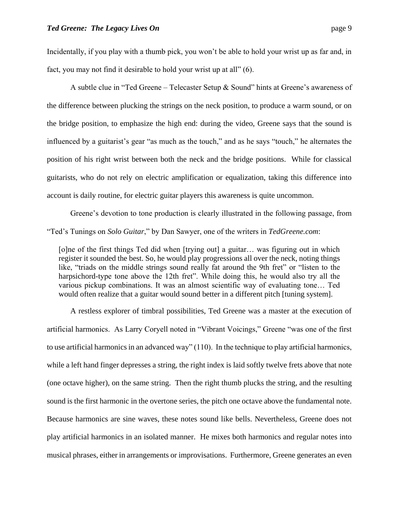Incidentally, if you play with a thumb pick, you won't be able to hold your wrist up as far and, in fact, you may not find it desirable to hold your wrist up at all" (6).

A subtle clue in "Ted Greene – Telecaster Setup & Sound" hints at Greene's awareness of the difference between plucking the strings on the neck position, to produce a warm sound, or on the bridge position, to emphasize the high end: during the video, Greene says that the sound is influenced by a guitarist's gear "as much as the touch," and as he says "touch," he alternates the position of his right wrist between both the neck and the bridge positions. While for classical guitarists, who do not rely on electric amplification or equalization, taking this difference into account is daily routine, for electric guitar players this awareness is quite uncommon.

Greene's devotion to tone production is clearly illustrated in the following passage, from "Ted's Tunings on *Solo Guitar*," by Dan Sawyer, one of the writers in *TedGreene.com*:

[o]ne of the first things Ted did when [trying out] a guitar… was figuring out in which register it sounded the best. So, he would play progressions all over the neck, noting things like, "triads on the middle strings sound really fat around the 9th fret" or "listen to the harpsichord-type tone above the 12th fret". While doing this, he would also try all the various pickup combinations. It was an almost scientific way of evaluating tone… Ted would often realize that a guitar would sound better in a different pitch [tuning system].

A restless explorer of timbral possibilities, Ted Greene was a master at the execution of artificial harmonics. As Larry Coryell noted in "Vibrant Voicings," Greene "was one of the first to use artificial harmonics in an advanced way" (110). In the technique to play artificial harmonics, while a left hand finger depresses a string, the right index is laid softly twelve frets above that note (one octave higher), on the same string. Then the right thumb plucks the string, and the resulting sound is the first harmonic in the overtone series, the pitch one octave above the fundamental note. Because harmonics are sine waves, these notes sound like bells. Nevertheless, Greene does not play artificial harmonics in an isolated manner. He mixes both harmonics and regular notes into musical phrases, either in arrangements or improvisations. Furthermore, Greene generates an even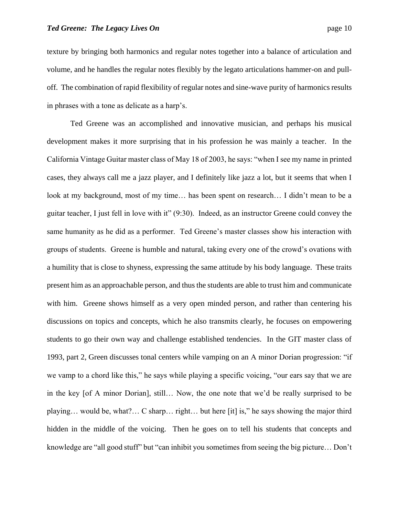texture by bringing both harmonics and regular notes together into a balance of articulation and volume, and he handles the regular notes flexibly by the legato articulations hammer-on and pulloff. The combination of rapid flexibility of regular notes and sine-wave purity of harmonics results in phrases with a tone as delicate as a harp's.

Ted Greene was an accomplished and innovative musician, and perhaps his musical development makes it more surprising that in his profession he was mainly a teacher. In the California Vintage Guitar master class of May 18 of 2003, he says: "when I see my name in printed cases, they always call me a jazz player, and I definitely like jazz a lot, but it seems that when I look at my background, most of my time… has been spent on research… I didn't mean to be a guitar teacher, I just fell in love with it" (9:30). Indeed, as an instructor Greene could convey the same humanity as he did as a performer. Ted Greene's master classes show his interaction with groups of students. Greene is humble and natural, taking every one of the crowd's ovations with a humility that is close to shyness, expressing the same attitude by his body language. These traits present him as an approachable person, and thus the students are able to trust him and communicate with him. Greene shows himself as a very open minded person, and rather than centering his discussions on topics and concepts, which he also transmits clearly, he focuses on empowering students to go their own way and challenge established tendencies. In the GIT master class of 1993, part 2, Green discusses tonal centers while vamping on an A minor Dorian progression: "if we vamp to a chord like this," he says while playing a specific voicing, "our ears say that we are in the key [of A minor Dorian], still… Now, the one note that we'd be really surprised to be playing… would be, what?… C sharp… right… but here [it] is," he says showing the major third hidden in the middle of the voicing. Then he goes on to tell his students that concepts and knowledge are "all good stuff" but "can inhibit you sometimes from seeing the big picture… Don't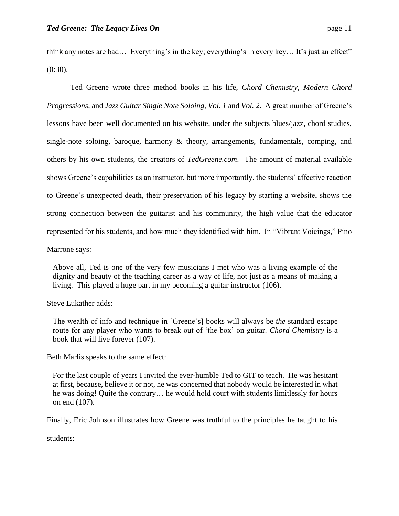think any notes are bad… Everything's in the key; everything's in every key… It's just an effect" (0:30).

Ted Greene wrote three method books in his life, *Chord Chemistry*, *Modern Chord Progressions*, and *Jazz Guitar Single Note Soloing, Vol. 1* and *Vol. 2*. A great number of Greene's lessons have been well documented on his website, under the subjects blues/jazz, chord studies, single-note soloing, baroque, harmony  $\&$  theory, arrangements, fundamentals, comping, and others by his own students, the creators of *TedGreene.com*. The amount of material available shows Greene's capabilities as an instructor, but more importantly, the students' affective reaction to Greene's unexpected death, their preservation of his legacy by starting a website, shows the strong connection between the guitarist and his community, the high value that the educator represented for his students, and how much they identified with him. In "Vibrant Voicings," Pino

Marrone says:

Above all, Ted is one of the very few musicians I met who was a living example of the dignity and beauty of the teaching career as a way of life, not just as a means of making a living. This played a huge part in my becoming a guitar instructor (106).

Steve Lukather adds:

The wealth of info and technique in [Greene's] books will always be *the* standard escape route for any player who wants to break out of 'the box' on guitar. *Chord Chemistry* is a book that will live forever (107).

Beth Marlis speaks to the same effect:

For the last couple of years I invited the ever-humble Ted to GIT to teach. He was hesitant at first, because, believe it or not, he was concerned that nobody would be interested in what he was doing! Quite the contrary… he would hold court with students limitlessly for hours on end (107).

Finally, Eric Johnson illustrates how Greene was truthful to the principles he taught to his

students: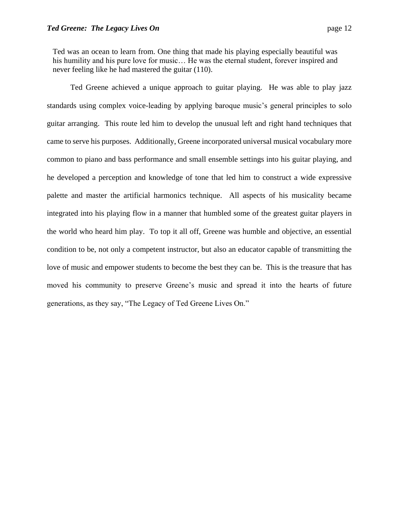Ted was an ocean to learn from. One thing that made his playing especially beautiful was his humility and his pure love for music... He was the eternal student, forever inspired and never feeling like he had mastered the guitar (110).

Ted Greene achieved a unique approach to guitar playing. He was able to play jazz standards using complex voice-leading by applying baroque music's general principles to solo guitar arranging. This route led him to develop the unusual left and right hand techniques that came to serve his purposes. Additionally, Greene incorporated universal musical vocabulary more common to piano and bass performance and small ensemble settings into his guitar playing, and he developed a perception and knowledge of tone that led him to construct a wide expressive palette and master the artificial harmonics technique. All aspects of his musicality became integrated into his playing flow in a manner that humbled some of the greatest guitar players in the world who heard him play. To top it all off, Greene was humble and objective, an essential condition to be, not only a competent instructor, but also an educator capable of transmitting the love of music and empower students to become the best they can be. This is the treasure that has moved his community to preserve Greene's music and spread it into the hearts of future generations, as they say, "The Legacy of Ted Greene Lives On."